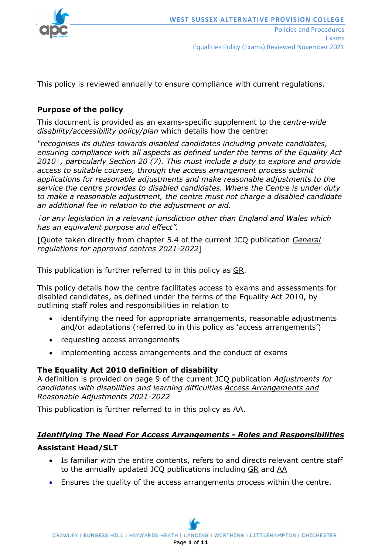

This policy is reviewed annually to ensure compliance with current regulations.

## **Purpose of the policy**

This document is provided as an exams-specific supplement to the *centre-wide disability/accessibility policy/plan* which details how the centre:

*"recognises its duties towards disabled candidates including private candidates, ensuring compliance with all aspects as defined under the terms of the Equality Act 2010*†*, particularly Section 20 (7). This must include a duty to explore and provide access to suitable courses, through the access arrangement process submit applications for reasonable adjustments and make reasonable adjustments to the service the centre provides to disabled candidates. Where the Centre is under duty to make a reasonable adjustment, the centre must not charge a disabled candidate an additional fee in relation to the adjustment or aid.* 

*†or any legislation in a relevant jurisdiction other than England and Wales which has an equivalent purpose and effect".* 

[Quote taken directly from chapter 5.4 of the current JCQ publication *[General](http://www.jcq.org.uk/exams-office/general-regulations)  [regulations for approved centres](http://www.jcq.org.uk/exams-office/general-regulations) 2021-2022*]

This publication is further referred to in this policy as [GR.](http://www.jcq.org.uk/exams-office/general-regulations)

This policy details how the centre facilitates access to exams and assessments for disabled candidates, as defined under the terms of the Equality Act 2010, by outlining staff roles and responsibilities in relation to

- identifying the need for appropriate arrangements, reasonable adjustments and/or adaptations (referred to in this policy as 'access arrangements')
- requesting access arrangements
- implementing access arrangements and the conduct of exams

## **The Equality Act 2010 definition of disability**

A definition is provided on page 9 of the current JCQ publication *Adjustments for candidates with disabilities and learning difficulties [Access Arrangements and](http://www.jcq.org.uk/exams-office/access-arrangements-and-special-consideration/regulations-and-guidance)  [Reasonable Adjustments](http://www.jcq.org.uk/exams-office/access-arrangements-and-special-consideration/regulations-and-guidance) 2021-2022*

This publication is further referred to in this policy as [AA.](http://www.jcq.org.uk/exams-office/access-arrangements-and-special-consideration/regulations-and-guidance)

# *Identifying The Need For Access Arrangements - Roles and Responsibilities* **Assistant Head/SLT**

- Is familiar with the entire contents, refers to and directs relevant centre staff to the annually updated JCQ publications including [GR](http://www.jcq.org.uk/exams-office/general-regulations) and [AA](http://www.jcq.org.uk/exams-office/access-arrangements-and-special-consideration/regulations-and-guidance)
- Ensures the quality of the access arrangements process within the centre.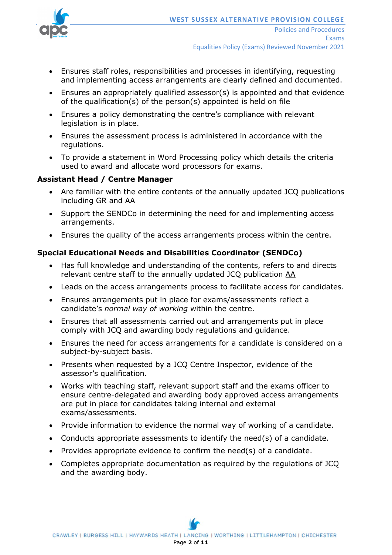

- Ensures staff roles, responsibilities and processes in identifying, requesting and implementing access arrangements are clearly defined and documented.
- Ensures an appropriately qualified assessor(s) is appointed and that evidence of the qualification(s) of the person(s) appointed is held on file
- Ensures a policy demonstrating the centre's compliance with relevant legislation is in place.
- Ensures the assessment process is administered in accordance with the regulations.
- To provide a statement in Word Processing policy which details the criteria used to award and allocate word processors for exams.

# **Assistant Head / Centre Manager**

- Are familiar with the entire contents of the annually updated JCQ publications including [GR](http://www.jcq.org.uk/exams-office/general-regulations) and [AA](http://www.jcq.org.uk/exams-office/access-arrangements-and-special-consideration/regulations-and-guidance)
- Support the SENDCo in determining the need for and implementing access arrangements.
- Ensures the quality of the access arrangements process within the centre.

# **Special Educational Needs and Disabilities Coordinator (SENDCo)**

- Has full knowledge and understanding of the contents, refers to and directs relevant centre staff to the annually updated JCQ publication [AA](http://www.jcq.org.uk/exams-office/access-arrangements-and-special-consideration/regulations-and-guidance)
- Leads on the access arrangements process to facilitate access for candidates.
- Ensures arrangements put in place for exams/assessments reflect a candidate's *normal way of working* within the centre.
- Ensures that all assessments carried out and arrangements put in place comply with JCQ and awarding body regulations and guidance.
- Ensures the need for access arrangements for a candidate is considered on a subject-by-subject basis.
- Presents when requested by a JCQ Centre Inspector, evidence of the assessor's qualification.
- Works with teaching staff, relevant support staff and the exams officer to ensure centre-delegated and awarding body approved access arrangements are put in place for candidates taking internal and external exams/assessments.
- Provide information to evidence the normal way of working of a candidate.
- Conducts appropriate assessments to identify the need(s) of a candidate.
- Provides appropriate evidence to confirm the need(s) of a candidate.
- Completes appropriate documentation as required by the regulations of JCQ and the awarding body.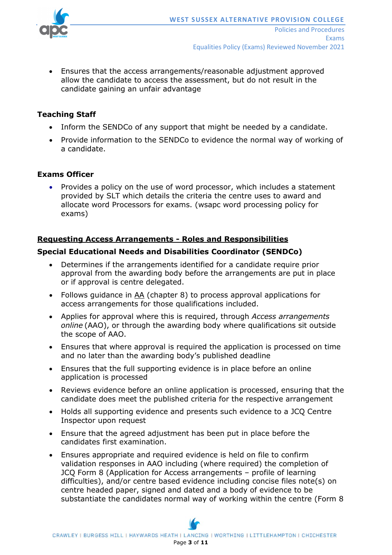

Exams Equalities Policy (Exams) Reviewed November 2021

• Ensures that the access arrangements/reasonable adjustment approved allow the candidate to access the assessment, but do not result in the candidate gaining an unfair advantage

#### **Teaching Staff**

- Inform the SENDCo of any support that might be needed by a candidate.
- Provide information to the SENDCo to evidence the normal way of working of a candidate.

#### **Exams Officer**

• Provides a policy on the use of word processor, which includes a statement provided by SLT which details the criteria the centre uses to award and allocate word Processors for exams. (wsapc word processing policy for exams)

#### **Requesting Access Arrangements - Roles and Responsibilities**

#### **Special Educational Needs and Disabilities Coordinator (SENDCo)**

- Determines if the arrangements identified for a candidate require prior approval from the awarding body before the arrangements are put in place or if approval is centre delegated.
- Follows guidance in [AA](http://www.jcq.org.uk/exams-office/access-arrangements-and-special-consideration) (chapter 8) to process approval applications for access arrangements for those qualifications included.
- Applies for approval where this is required, through *Access arrangements online* (AAO), or through the awarding body where qualifications sit outside the scope of AAO.
- Ensures that where approval is required the application is processed on time and no later than the awarding body's published deadline
- Ensures that the full supporting evidence is in place before an online application is processed
- Reviews evidence before an online application is processed, ensuring that the candidate does meet the published criteria for the respective arrangement
- Holds all supporting evidence and presents such evidence to a JCQ Centre Inspector upon request
- Ensure that the agreed adjustment has been put in place before the candidates first examination.
- Ensures appropriate and required evidence is held on file to confirm validation responses in AAO including (where required) the completion of JCQ Form 8 (Application for Access arrangements – profile of learning difficulties), and/or centre based evidence including concise files note(s) on centre headed paper, signed and dated and a body of evidence to be substantiate the candidates normal way of working within the centre (Form 8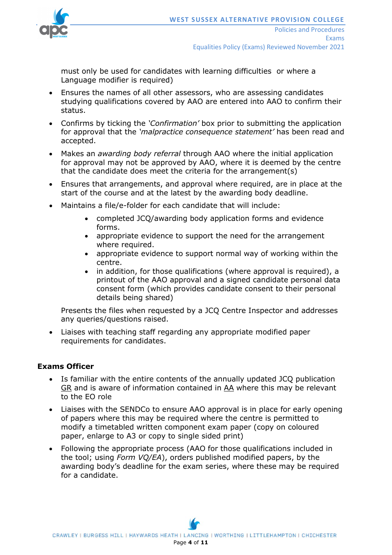

Policies and Procedures Exams Equalities Policy (Exams) Reviewed November 2021

must only be used for candidates with learning difficulties or where a Language modifier is required)

- Ensures the names of all other assessors, who are assessing candidates studying qualifications covered by AAO are entered into AAO to confirm their status.
- Confirms by ticking the *'Confirmation'* box prior to submitting the application for approval that the *'malpractice consequence statement'* has been read and accepted.
- Makes an *awarding body referral* through AAO where the initial application for approval may not be approved by AAO, where it is deemed by the centre that the candidate does meet the criteria for the arrangement(s)
- Ensures that arrangements, and approval where required, are in place at the start of the course and at the latest by the awarding body deadline.
- Maintains a file/e-folder for each candidate that will include:
	- completed JCQ/awarding body application forms and evidence forms.
	- appropriate evidence to support the need for the arrangement where required.
	- appropriate evidence to support normal way of working within the centre.
	- in addition, for those qualifications (where approval is required), a printout of the AAO approval and a signed candidate personal data consent form (which provides candidate consent to their personal details being shared)

Presents the files when requested by a JCQ Centre Inspector and addresses any queries/questions raised.

• Liaises with teaching staff regarding any appropriate modified paper requirements for candidates.

## **Exams Officer**

- Is familiar with the entire contents of the annually updated JCQ publication [GR](http://www.jcq.org.uk/exams-office/general-regulations) and is aware of information contained in [AA](http://www.jcq.org.uk/exams-office/access-arrangements-and-special-consideration/regulations-and-guidance) where this may be relevant to the EO role
- Liaises with the SENDCo to ensure AAO approval is in place for early opening of papers where this may be required where the centre is permitted to modify a timetabled written component exam paper (copy on coloured paper, enlarge to A3 or copy to single sided print)
- Following the appropriate process (AAO for those qualifications included in the tool; using *Form VQ/EA*), orders published modified papers, by the awarding body's deadline for the exam series, where these may be required for a candidate.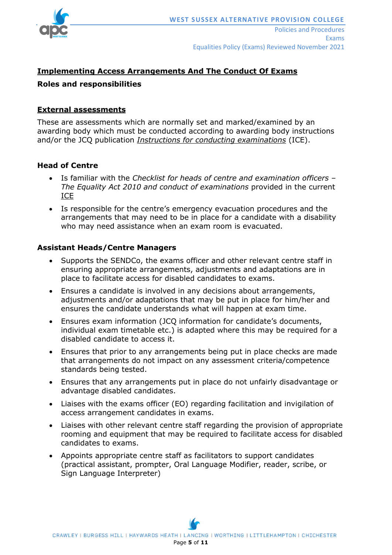

# **Implementing Access Arrangements And The Conduct Of Exams Roles and responsibilities**

## **External assessments**

These are assessments which are normally set and marked/examined by an awarding body which must be conducted according to awarding body instructions and/or the JCQ publication *[Instructions for conducting examinations](http://www.jcq.org.uk/exams-office/ice---instructions-for-conducting-examinations)* (ICE).

## **Head of Centre**

- Is familiar with the *Checklist for heads of centre and examination officers The Equality Act 2010 and conduct of examinations* provided in the current [ICE](http://www.jcq.org.uk/exams-office/ice---instructions-for-conducting-examinations)
- Is responsible for the centre's emergency evacuation procedures and the arrangements that may need to be in place for a candidate with a disability who may need assistance when an exam room is evacuated.

## **Assistant Heads/Centre Managers**

- Supports the SENDCo, the exams officer and other relevant centre staff in ensuring appropriate arrangements, adjustments and adaptations are in place to facilitate access for disabled candidates to exams.
- Ensures a candidate is involved in any decisions about arrangements, adjustments and/or adaptations that may be put in place for him/her and ensures the candidate understands what will happen at exam time.
- Ensures exam information (JCQ information for candidate's documents, individual exam timetable etc.) is adapted where this may be required for a disabled candidate to access it.
- Ensures that prior to any arrangements being put in place checks are made that arrangements do not impact on any assessment criteria/competence standards being tested.
- Ensures that any arrangements put in place do not unfairly disadvantage or advantage disabled candidates.
- Liaises with the exams officer (EO) regarding facilitation and invigilation of access arrangement candidates in exams.
- Liaises with other relevant centre staff regarding the provision of appropriate rooming and equipment that may be required to facilitate access for disabled candidates to exams.
- Appoints appropriate centre staff as facilitators to support candidates (practical assistant, prompter, Oral Language Modifier, reader, scribe, or Sian Language Interpreter)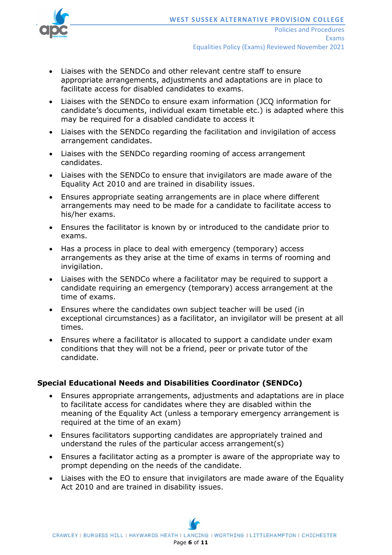

Policies and Procedures Exams Equalities Policy (Exams) Reviewed November 2021

- Liaises with the SENDCo and other relevant centre staff to ensure appropriate arrangements, adjustments and adaptations are in place to facilitate access for disabled candidates to exams.
- Liaises with the SENDCo to ensure exam information (JCQ information for candidate's documents, individual exam timetable etc.) is adapted where this may be required for a disabled candidate to access it
- Liaises with the SENDCo regarding the facilitation and invigilation of access arrangement candidates.
- Liaises with the SENDCo regarding rooming of access arrangement candidates.
- Liaises with the SENDCo to ensure that invigilators are made aware of the Equality Act 2010 and are trained in disability issues.
- Ensures appropriate seating arrangements are in place where different arrangements may need to be made for a candidate to facilitate access to his/her exams.
- Ensures the facilitator is known by or introduced to the candidate prior to exams.
- Has a process in place to deal with emergency (temporary) access arrangements as they arise at the time of exams in terms of rooming and invigilation.
- Liaises with the SENDCo where a facilitator may be required to support a candidate requiring an emergency (temporary) access arrangement at the time of exams.
- Ensures where the candidates own subject teacher will be used (in exceptional circumstances) as a facilitator, an invigilator will be present at all times.
- Ensures where a facilitator is allocated to support a candidate under exam conditions that they will not be a friend, peer or private tutor of the candidate.

## **Special Educational Needs and Disabilities Coordinator (SENDCo)**

- Ensures appropriate arrangements, adjustments and adaptations are in place to facilitate access for candidates where they are disabled within the meaning of the Equality Act (unless a temporary emergency arrangement is required at the time of an exam)
- Ensures facilitators supporting candidates are appropriately trained and understand the rules of the particular access arrangement(s)
- Ensures a facilitator acting as a prompter is aware of the appropriate way to prompt depending on the needs of the candidate.
- Liaises with the EO to ensure that invigilators are made aware of the Equality Act 2010 and are trained in disability issues.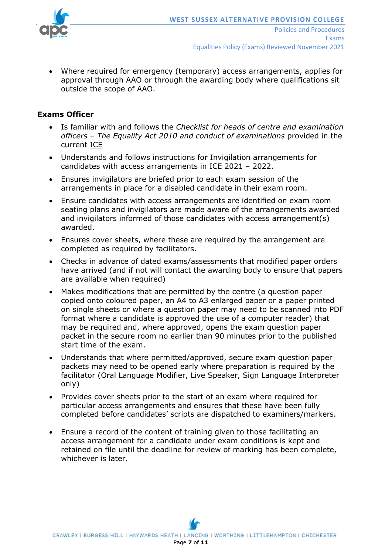

• Where required for emergency (temporary) access arrangements, applies for approval through AAO or through the awarding body where qualifications sit outside the scope of AAO.

#### **Exams Officer**

- Is familiar with and follows the *Checklist for heads of centre and examination officers – The Equality Act 2010 and conduct of examinations* provided in the current [ICE](http://www.jcq.org.uk/exams-office/ice---instructions-for-conducting-examinations)
- Understands and follows instructions for Invigilation arrangements for candidates with access arrangements in ICE 2021 – 2022.
- Ensures invigilators are briefed prior to each exam session of the arrangements in place for a disabled candidate in their exam room.
- Ensure candidates with access arrangements are identified on exam room seating plans and invigilators are made aware of the arrangements awarded and invigilators informed of those candidates with access arrangement(s) awarded.
- Ensures cover sheets, where these are required by the arrangement are completed as required by facilitators.
- Checks in advance of dated exams/assessments that modified paper orders have arrived (and if not will contact the awarding body to ensure that papers are available when required)
- Makes modifications that are permitted by the centre (a question paper copied onto coloured paper, an A4 to A3 enlarged paper or a paper printed on single sheets or where a question paper may need to be scanned into PDF format where a candidate is approved the use of a computer reader) that may be required and, where approved, opens the exam question paper packet in the secure room no earlier than 90 minutes prior to the published start time of the exam.
- Understands that where permitted/approved, secure exam question paper packets may need to be opened early where preparation is required by the facilitator (Oral Language Modifier, Live Speaker, Sign Language Interpreter only)
- Provides cover sheets prior to the start of an exam where required for particular access arrangements and ensures that these have been fully completed before candidates' scripts are dispatched to examiners/markers.
- Ensure a record of the content of training given to those facilitating an access arrangement for a candidate under exam conditions is kept and retained on file until the deadline for review of marking has been complete, whichever is later.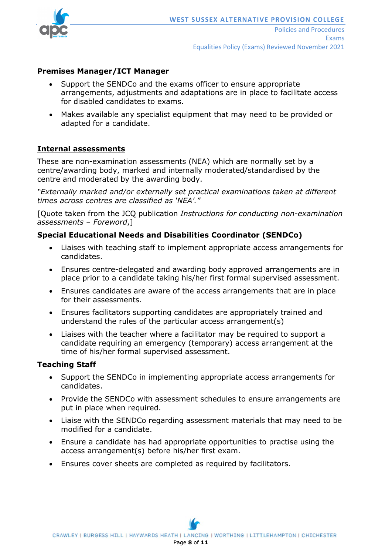

Equalities Policy (Exams) Reviewed November 2021

#### **Premises Manager/ICT Manager**

- Support the SENDCo and the exams officer to ensure appropriate arrangements, adjustments and adaptations are in place to facilitate access for disabled candidates to exams.
- Makes available any specialist equipment that may need to be provided or adapted for a candidate.

#### **Internal assessments**

These are non-examination assessments (NEA) which are normally set by a centre/awarding body, marked and internally moderated/standardised by the centre and moderated by the awarding body.

*"Externally marked and/or externally set practical examinations taken at different times across centres are classified as 'NEA'."*

[Quote taken from the JCQ publication *[Instructions for conducting non-examination](http://www.jcq.org.uk/exams-office/non-examination-assessments)  [assessments](http://www.jcq.org.uk/exams-office/non-examination-assessments)* – *Foreword*,]

## **Special Educational Needs and Disabilities Coordinator (SENDCo)**

- Liaises with teaching staff to implement appropriate access arrangements for candidates.
- Ensures centre-delegated and awarding body approved arrangements are in place prior to a candidate taking his/her first formal supervised assessment.
- Ensures candidates are aware of the access arrangements that are in place for their assessments.
- Ensures facilitators supporting candidates are appropriately trained and understand the rules of the particular access arrangement(s)
- Liaises with the teacher where a facilitator may be required to support a candidate requiring an emergency (temporary) access arrangement at the time of his/her formal supervised assessment.

#### **Teaching Staff**

- Support the SENDCo in implementing appropriate access arrangements for candidates.
- Provide the SENDCo with assessment schedules to ensure arrangements are put in place when required.
- Liaise with the SENDCo regarding assessment materials that may need to be modified for a candidate.
- Ensure a candidate has had appropriate opportunities to practise using the access arrangement(s) before his/her first exam.
- Ensures cover sheets are completed as required by facilitators.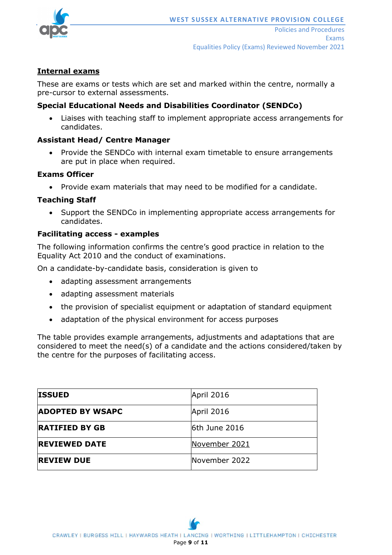

# **Internal exams**

These are exams or tests which are set and marked within the centre, normally a pre-cursor to external assessments.

# **Special Educational Needs and Disabilities Coordinator (SENDCo)**

• Liaises with teaching staff to implement appropriate access arrangements for candidates.

## **Assistant Head/ Centre Manager**

• Provide the SENDCo with internal exam timetable to ensure arrangements are put in place when required.

#### **Exams Officer**

• Provide exam materials that may need to be modified for a candidate.

#### **Teaching Staff**

• Support the SENDCo in implementing appropriate access arrangements for candidates.

#### **Facilitating access - examples**

The following information confirms the centre's good practice in relation to the Equality Act 2010 and the conduct of examinations.

On a candidate-by-candidate basis, consideration is given to

- adapting assessment arrangements
- adapting assessment materials
- the provision of specialist equipment or adaptation of standard equipment
- adaptation of the physical environment for access purposes

The table provides example arrangements, adjustments and adaptations that are considered to meet the need(s) of a candidate and the actions considered/taken by the centre for the purposes of facilitating access.

| <b>ISSUED</b>           | April 2016           |
|-------------------------|----------------------|
| <b>ADOPTED BY WSAPC</b> | April 2016           |
| <b>RATIFIED BY GB</b>   | <b>6th June 2016</b> |
| <b>REVIEWED DATE</b>    | November 2021        |
| <b>REVIEW DUE</b>       | November 2022        |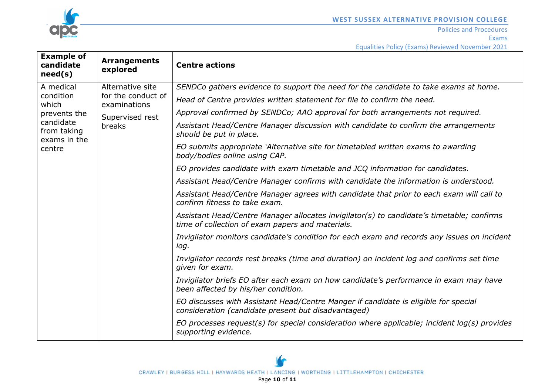

┯

Equalities Policy (Exams) Reviewed November 2021

| <b>Example of</b><br>candidate<br>need(s)                                                             | <b>Arrangements</b><br>explored                                                     | <b>Centre actions</b>                                                                                                                         |
|-------------------------------------------------------------------------------------------------------|-------------------------------------------------------------------------------------|-----------------------------------------------------------------------------------------------------------------------------------------------|
| A medical<br>condition<br>which<br>prevents the<br>candidate<br>from taking<br>exams in the<br>centre | Alternative site<br>for the conduct of<br>examinations<br>Supervised rest<br>breaks | SENDCo gathers evidence to support the need for the candidate to take exams at home.                                                          |
|                                                                                                       |                                                                                     | Head of Centre provides written statement for file to confirm the need.                                                                       |
|                                                                                                       |                                                                                     | Approval confirmed by SENDCo; AAO approval for both arrangements not required.                                                                |
|                                                                                                       |                                                                                     | Assistant Head/Centre Manager discussion with candidate to confirm the arrangements<br>should be put in place.                                |
|                                                                                                       |                                                                                     | EO submits appropriate 'Alternative site for timetabled written exams to awarding<br>body/bodies online using CAP.                            |
|                                                                                                       |                                                                                     | EO provides candidate with exam timetable and JCQ information for candidates.                                                                 |
|                                                                                                       |                                                                                     | Assistant Head/Centre Manager confirms with candidate the information is understood.                                                          |
|                                                                                                       |                                                                                     | Assistant Head/Centre Manager agrees with candidate that prior to each exam will call to<br>confirm fitness to take exam.                     |
|                                                                                                       |                                                                                     | Assistant Head/Centre Manager allocates invigilator(s) to candidate's timetable; confirms<br>time of collection of exam papers and materials. |
|                                                                                                       |                                                                                     | Invigilator monitors candidate's condition for each exam and records any issues on incident<br>log.                                           |
|                                                                                                       |                                                                                     | Invigilator records rest breaks (time and duration) on incident log and confirms set time<br>given for exam.                                  |
|                                                                                                       |                                                                                     | Invigilator briefs EO after each exam on how candidate's performance in exam may have<br>been affected by his/her condition.                  |
|                                                                                                       |                                                                                     | EO discusses with Assistant Head/Centre Manger if candidate is eligible for special<br>consideration (candidate present but disadvantaged)    |
|                                                                                                       |                                                                                     | EO processes request(s) for special consideration where applicable; incident log(s) provides<br>supporting evidence.                          |